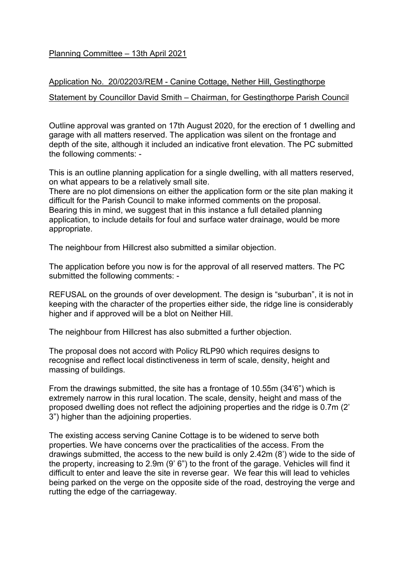## Planning Committee – 13th April 2021

## Application No. 20/02203/REM - Canine Cottage, Nether Hill, Gestingthorpe

## Statement by Councillor David Smith – Chairman, for Gestingthorpe Parish Council

Outline approval was granted on 17th August 2020, for the erection of 1 dwelling and garage with all matters reserved. The application was silent on the frontage and depth of the site, although it included an indicative front elevation. The PC submitted the following comments: -

This is an outline planning application for a single dwelling, with all matters reserved, on what appears to be a relatively small site.

There are no plot dimensions on either the application form or the site plan making it difficult for the Parish Council to make informed comments on the proposal. Bearing this in mind, we suggest that in this instance a full detailed planning application, to include details for foul and surface water drainage, would be more appropriate.

The neighbour from Hillcrest also submitted a similar objection.

The application before you now is for the approval of all reserved matters. The PC submitted the following comments: -

REFUSAL on the grounds of over development. The design is "suburban", it is not in keeping with the character of the properties either side, the ridge line is considerably higher and if approved will be a blot on Neither Hill.

The neighbour from Hillcrest has also submitted a further objection.

The proposal does not accord with Policy RLP90 which requires designs to recognise and reflect local distinctiveness in term of scale, density, height and massing of buildings.

From the drawings submitted, the site has a frontage of 10.55m (34'6") which is extremely narrow in this rural location. The scale, density, height and mass of the proposed dwelling does not reflect the adjoining properties and the ridge is 0.7m (2' 3") higher than the adjoining properties.

The existing access serving Canine Cottage is to be widened to serve both properties. We have concerns over the practicalities of the access. From the drawings submitted, the access to the new build is only 2.42m (8') wide to the side of the property, increasing to 2.9m (9' 6") to the front of the garage. Vehicles will find it difficult to enter and leave the site in reverse gear. We fear this will lead to vehicles being parked on the verge on the opposite side of the road, destroying the verge and rutting the edge of the carriageway.